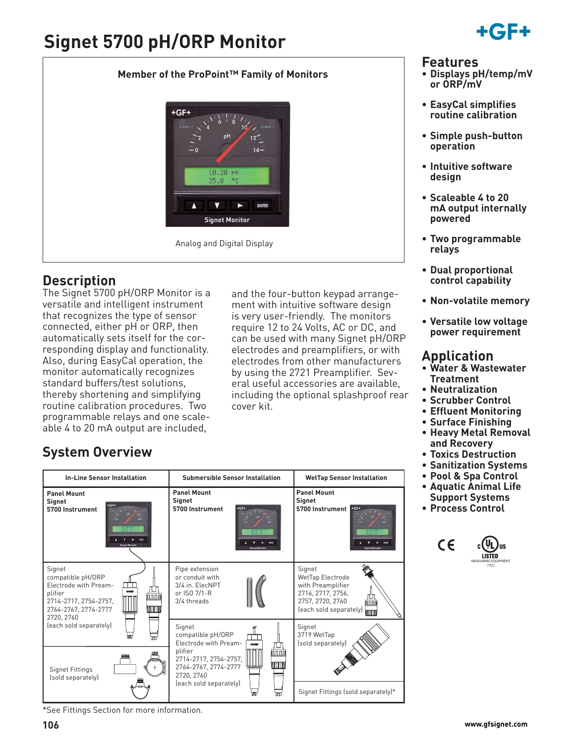# **Signet 5700 pH/ORP Monitor**

### **Member of the ProPoint™ Family of Monitors**



### **Description**

The Signet 5700 pH/ORP Monitor is a versatile and intelligent instrument that recognizes the type of sensor connected, either pH or ORP, then automatically sets itself for the corresponding display and functionality. Also, during EasyCal operation, the monitor automatically recognizes standard buffers/test solutions, thereby shortening and simplifying routine calibration procedures. Two programmable relays and one scaleable 4 to 20 mA output are included,

and the four-button keypad arrangement with intuitive software design is very user-friendly. The monitors require 12 to 24 Volts, AC or DC, and can be used with many Signet pH/ORP electrodes and preamplifiers, or with electrodes from other manufacturers by using the 2721 Preamplifier. Several useful accessories are available, including the optional splashproof rear cover kit.

# HC E.

### **Features**

- **Displays pH/temp/mV or ORP/mV**
- **EasyCal simplifies routine calibration**
- **Simple push-button operation**
- **Intuitive software design**
- **Scaleable 4 to 20 mA output internally powered**
- **Two programmable relays**
- **Dual proportional control capability**
- **Non-volatile memory**
- **Versatile low voltage power requirement**

### **Application**

- **Water & Wastewater Treatment**
- **Neutralization**
- **Scrubber Control**
- **Effluent Monitoring**
- **Surface Finishing**
- **Heavy Metal Removal and Recovery**
- **Toxics Destruction**
- **Sanitization Systems**
- **Pool & Spa Control**
- **Aquatic Animal Life Support Systems**
- **Process Control**



## **System Overview**

| <b>In-Line Sensor Installation</b>                                                                                                            | <b>Submersible Sensor Installation</b>                                                                           | <b>WetTap Sensor Installation</b>                                                                                                |
|-----------------------------------------------------------------------------------------------------------------------------------------------|------------------------------------------------------------------------------------------------------------------|----------------------------------------------------------------------------------------------------------------------------------|
| <b>Panel Mount</b><br><b>Signet</b><br>5700 Instrument                                                                                        | <b>Panel Mount</b><br>Signet<br>5700 Instrument                                                                  | <b>Panel Mount</b><br>Signet<br>5700 Instrument                                                                                  |
| Signet<br>compatible pH/ORP<br>Electrode with Pream-<br>plifier<br>innni<br>2714-2717, 2754-2757,<br>WW<br>2764-2767, 2774-2777<br>2720, 2760 | Pipe extension<br>or conduit with<br>3/4 in. ElecNPT<br>or ISO 7/1-R<br>3/4 threads                              | Signet<br>WetTap Electrode<br>with Preamplifier<br>2716, 2717, 2756,<br>2757, 2720, 2760<br>nnnn<br>(each sold separately)<br>mm |
| (each sold separately)<br>т<br>ला                                                                                                             | Signet<br>compatible pH/ORP<br>Electrode with Pream-<br>100907                                                   | Signet<br>3719 WetTap<br>(sold separately)                                                                                       |
| <b>Signet Fittings</b><br>(sold separately)                                                                                                   | plifier<br>mnnm<br>2714-2717, 2754-2757,<br>WUTU<br>2764-2767, 2774-2777<br>2720, 2760<br>(each sold separately) |                                                                                                                                  |
|                                                                                                                                               |                                                                                                                  | Signet Fittings (sold separately)*                                                                                               |

\*See Fittings Section for more information.